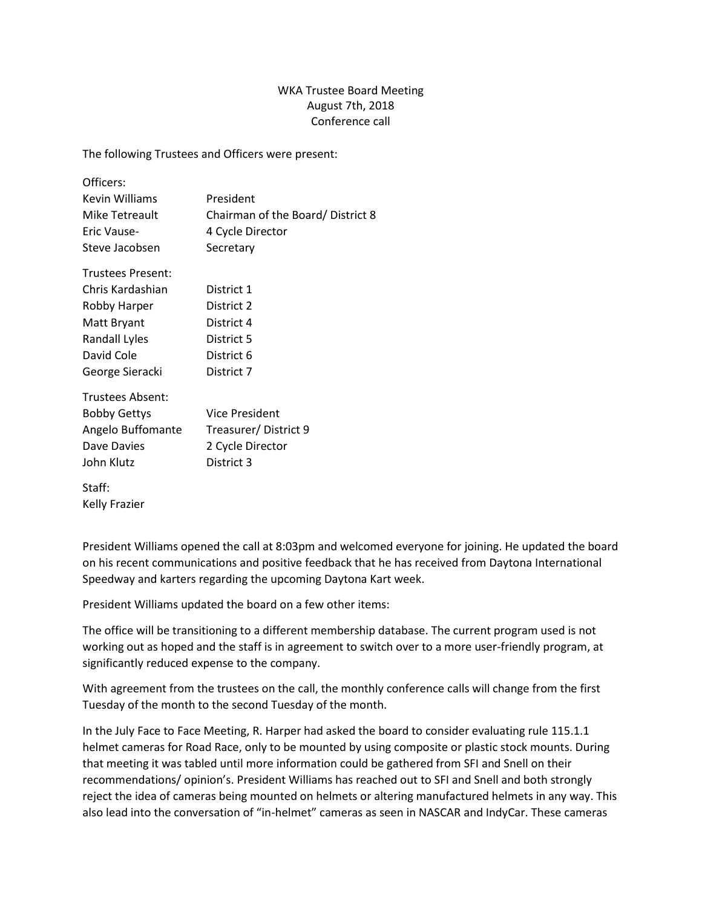## WKA Trustee Board Meeting August 7th, 2018 Conference call

The following Trustees and Officers were present:

| Officers:            |                                  |
|----------------------|----------------------------------|
| Kevin Williams       | President                        |
| Mike Tetreault       | Chairman of the Board/District 8 |
| Eric Vause-          | 4 Cycle Director                 |
| Steve Jacobsen       | Secretary                        |
| Trustees Present:    |                                  |
| Chris Kardashian     | District 1                       |
| Robby Harper         | District 2                       |
| Matt Bryant          | District 4                       |
| <b>Randall Lyles</b> | District 5                       |
| David Cole           | District 6                       |
| George Sieracki      | District 7                       |
| Trustees Absent:     |                                  |
| <b>Bobby Gettys</b>  | Vice President                   |
| Angelo Buffomante    | Treasurer/District 9             |
| Dave Davies          | 2 Cycle Director                 |

Staff: Kelly Frazier

John Klutz District 3

President Williams opened the call at 8:03pm and welcomed everyone for joining. He updated the board on his recent communications and positive feedback that he has received from Daytona International Speedway and karters regarding the upcoming Daytona Kart week.

President Williams updated the board on a few other items:

The office will be transitioning to a different membership database. The current program used is not working out as hoped and the staff is in agreement to switch over to a more user-friendly program, at significantly reduced expense to the company.

With agreement from the trustees on the call, the monthly conference calls will change from the first Tuesday of the month to the second Tuesday of the month.

In the July Face to Face Meeting, R. Harper had asked the board to consider evaluating rule 115.1.1 helmet cameras for Road Race, only to be mounted by using composite or plastic stock mounts. During that meeting it was tabled until more information could be gathered from SFI and Snell on their recommendations/ opinion's. President Williams has reached out to SFI and Snell and both strongly reject the idea of cameras being mounted on helmets or altering manufactured helmets in any way. This also lead into the conversation of "in-helmet" cameras as seen in NASCAR and IndyCar. These cameras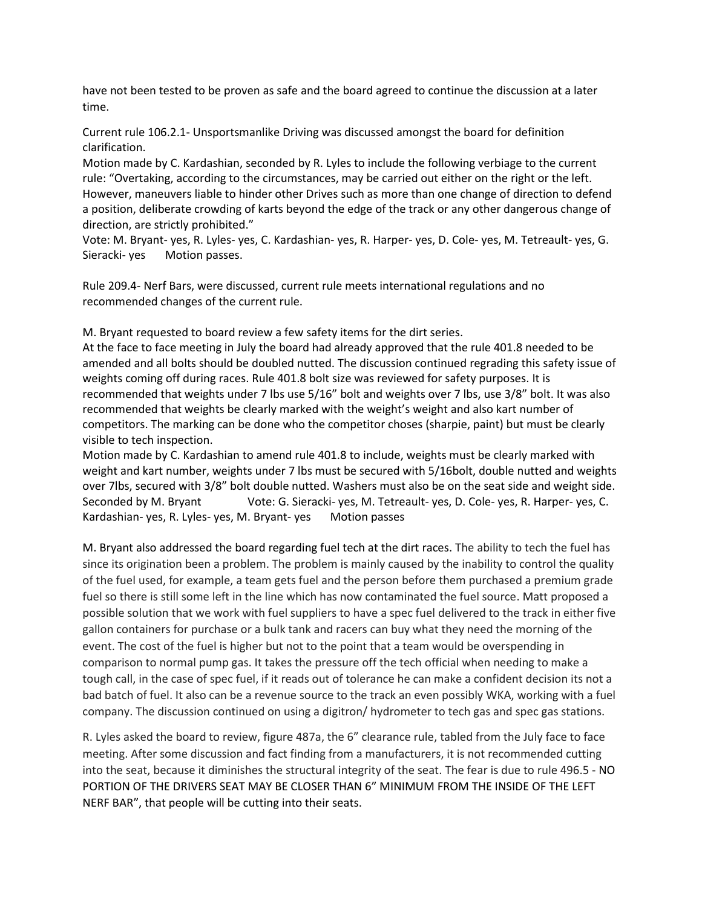have not been tested to be proven as safe and the board agreed to continue the discussion at a later time.

Current rule 106.2.1- Unsportsmanlike Driving was discussed amongst the board for definition clarification.

Motion made by C. Kardashian, seconded by R. Lyles to include the following verbiage to the current rule: "Overtaking, according to the circumstances, may be carried out either on the right or the left. However, maneuvers liable to hinder other Drives such as more than one change of direction to defend a position, deliberate crowding of karts beyond the edge of the track or any other dangerous change of direction, are strictly prohibited."

Vote: M. Bryant- yes, R. Lyles- yes, C. Kardashian- yes, R. Harper- yes, D. Cole- yes, M. Tetreault- yes, G. Sieracki- yes Motion passes.

Rule 209.4- Nerf Bars, were discussed, current rule meets international regulations and no recommended changes of the current rule.

M. Bryant requested to board review a few safety items for the dirt series.

At the face to face meeting in July the board had already approved that the rule 401.8 needed to be amended and all bolts should be doubled nutted. The discussion continued regrading this safety issue of weights coming off during races. Rule 401.8 bolt size was reviewed for safety purposes. It is recommended that weights under 7 lbs use 5/16" bolt and weights over 7 lbs, use 3/8" bolt. It was also recommended that weights be clearly marked with the weight's weight and also kart number of competitors. The marking can be done who the competitor choses (sharpie, paint) but must be clearly visible to tech inspection.

Motion made by C. Kardashian to amend rule 401.8 to include, weights must be clearly marked with weight and kart number, weights under 7 lbs must be secured with 5/16bolt, double nutted and weights over 7lbs, secured with 3/8" bolt double nutted. Washers must also be on the seat side and weight side. Seconded by M. Bryant Vote: G. Sieracki- yes, M. Tetreault- yes, D. Cole- yes, R. Harper- yes, C. Kardashian- yes, R. Lyles- yes, M. Bryant- yes Motion passes

M. Bryant also addressed the board regarding fuel tech at the dirt races. The ability to tech the fuel has since its origination been a problem. The problem is mainly caused by the inability to control the quality of the fuel used, for example, a team gets fuel and the person before them purchased a premium grade fuel so there is still some left in the line which has now contaminated the fuel source. Matt proposed a possible solution that we work with fuel suppliers to have a spec fuel delivered to the track in either five gallon containers for purchase or a bulk tank and racers can buy what they need the morning of the event. The cost of the fuel is higher but not to the point that a team would be overspending in comparison to normal pump gas. It takes the pressure off the tech official when needing to make a tough call, in the case of spec fuel, if it reads out of tolerance he can make a confident decision its not a bad batch of fuel. It also can be a revenue source to the track an even possibly WKA, working with a fuel company. The discussion continued on using a digitron/ hydrometer to tech gas and spec gas stations.

R. Lyles asked the board to review, figure 487a, the 6" clearance rule, tabled from the July face to face meeting. After some discussion and fact finding from a manufacturers, it is not recommended cutting into the seat, because it diminishes the structural integrity of the seat. The fear is due to rule 496.5 - NO PORTION OF THE DRIVERS SEAT MAY BE CLOSER THAN 6" MINIMUM FROM THE INSIDE OF THE LEFT NERF BAR", that people will be cutting into their seats.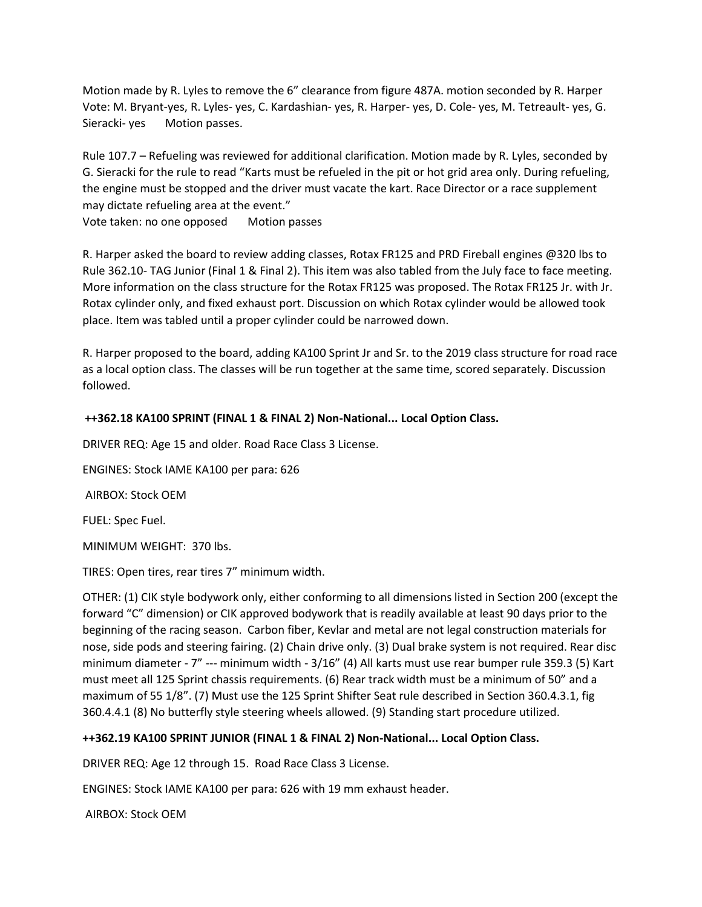Motion made by R. Lyles to remove the 6" clearance from figure 487A. motion seconded by R. Harper Vote: M. Bryant-yes, R. Lyles- yes, C. Kardashian- yes, R. Harper- yes, D. Cole- yes, M. Tetreault- yes, G. Sieracki- yes Motion passes.

Rule 107.7 – Refueling was reviewed for additional clarification. Motion made by R. Lyles, seconded by G. Sieracki for the rule to read "Karts must be refueled in the pit or hot grid area only. During refueling, the engine must be stopped and the driver must vacate the kart. Race Director or a race supplement may dictate refueling area at the event."

Vote taken: no one opposed Motion passes

R. Harper asked the board to review adding classes, Rotax FR125 and PRD Fireball engines @320 lbs to Rule 362.10- TAG Junior (Final 1 & Final 2). This item was also tabled from the July face to face meeting. More information on the class structure for the Rotax FR125 was proposed. The Rotax FR125 Jr. with Jr. Rotax cylinder only, and fixed exhaust port. Discussion on which Rotax cylinder would be allowed took place. Item was tabled until a proper cylinder could be narrowed down.

R. Harper proposed to the board, adding KA100 Sprint Jr and Sr. to the 2019 class structure for road race as a local option class. The classes will be run together at the same time, scored separately. Discussion followed.

## **++362.18 KA100 SPRINT (FINAL 1 & FINAL 2) Non-National... Local Option Class.**

DRIVER REQ: Age 15 and older. Road Race Class 3 License.

ENGINES: Stock IAME KA100 per para: 626

AIRBOX: Stock OEM

FUEL: Spec Fuel.

MINIMUM WEIGHT: 370 lbs.

TIRES: Open tires, rear tires 7" minimum width.

OTHER: (1) CIK style bodywork only, either conforming to all dimensions listed in Section 200 (except the forward "C" dimension) or CIK approved bodywork that is readily available at least 90 days prior to the beginning of the racing season. Carbon fiber, Kevlar and metal are not legal construction materials for nose, side pods and steering fairing. (2) Chain drive only. (3) Dual brake system is not required. Rear disc minimum diameter - 7" --- minimum width - 3/16" (4) All karts must use rear bumper rule 359.3 (5) Kart must meet all 125 Sprint chassis requirements. (6) Rear track width must be a minimum of 50" and a maximum of 55 1/8". (7) Must use the 125 Sprint Shifter Seat rule described in Section 360.4.3.1, fig 360.4.4.1 (8) No butterfly style steering wheels allowed. (9) Standing start procedure utilized.

## **++362.19 KA100 SPRINT JUNIOR (FINAL 1 & FINAL 2) Non-National... Local Option Class.**

DRIVER REQ: Age 12 through 15. Road Race Class 3 License.

ENGINES: Stock IAME KA100 per para: 626 with 19 mm exhaust header.

AIRBOX: Stock OEM